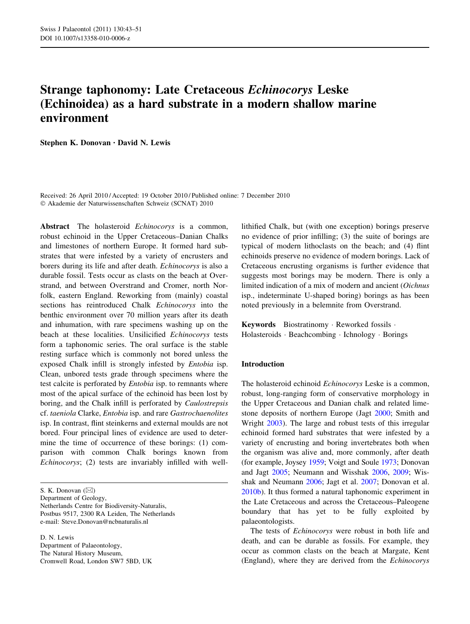# Strange taphonomy: Late Cretaceous Echinocorys Leske (Echinoidea) as a hard substrate in a modern shallow marine environment

Stephen K. Donovan • David N. Lewis

Received: 26 April 2010 / Accepted: 19 October 2010 / Published online: 7 December 2010 - Akademie der Naturwissenschaften Schweiz (SCNAT) 2010

Abstract The holasteroid *Echinocorys* is a common, robust echinoid in the Upper Cretaceous–Danian Chalks and limestones of northern Europe. It formed hard substrates that were infested by a variety of encrusters and borers during its life and after death. Echinocorys is also a durable fossil. Tests occur as clasts on the beach at Overstrand, and between Overstrand and Cromer, north Norfolk, eastern England. Reworking from (mainly) coastal sections has reintroduced Chalk Echinocorys into the benthic environment over 70 million years after its death and inhumation, with rare specimens washing up on the beach at these localities. Unsilicified Echinocorys tests form a taphonomic series. The oral surface is the stable resting surface which is commonly not bored unless the exposed Chalk infill is strongly infested by Entobia isp. Clean, unbored tests grade through specimens where the test calcite is perforated by Entobia isp. to remnants where most of the apical surface of the echinoid has been lost by boring, and the Chalk infill is perforated by Caulostrepsis cf. taeniola Clarke, Entobia isp. and rare Gastrochaenolites isp. In contrast, flint steinkerns and external moulds are not bored. Four principal lines of evidence are used to determine the time of occurrence of these borings: (1) comparison with common Chalk borings known from Echinocorys; (2) tests are invariably infilled with well-

Department of Geology, Netherlands Centre for Biodiversity-Naturalis, Postbus 9517, 2300 RA Leiden, The Netherlands e-mail: Steve.Donovan@ncbnaturalis.nl

D. N. Lewis Department of Palaeontology, The Natural History Museum, Cromwell Road, London SW7 5BD, UK lithified Chalk, but (with one exception) borings preserve no evidence of prior infilling; (3) the suite of borings are typical of modern lithoclasts on the beach; and (4) flint echinoids preserve no evidence of modern borings. Lack of Cretaceous encrusting organisms is further evidence that suggests most borings may be modern. There is only a limited indication of a mix of modern and ancient (Oichnus isp., indeterminate U-shaped boring) borings as has been noted previously in a belemnite from Overstrand.

Keywords Biostratinomy - Reworked fossils - Holasteroids - Beachcombing - Ichnology - Borings

## Introduction

The holasteroid echinoid *Echinocorys* Leske is a common, robust, long-ranging form of conservative morphology in the Upper Cretaceous and Danian chalk and related limestone deposits of northern Europe (Jagt [2000;](#page-7-0) Smith and Wright [2003](#page-8-0)). The large and robust tests of this irregular echinoid formed hard substrates that were infested by a variety of encrusting and boring invertebrates both when the organism was alive and, more commonly, after death (for example, Joysey [1959;](#page-7-0) Voigt and Soule [1973;](#page-8-0) Donovan and Jagt [2005;](#page-7-0) Neumann and Wisshak [2006](#page-8-0), [2009;](#page-8-0) Wisshak and Neumann [2006;](#page-8-0) Jagt et al. [2007;](#page-7-0) Donovan et al. [2010b](#page-7-0)). It thus formed a natural taphonomic experiment in the Late Cretaceous and across the Cretaceous–Paleogene boundary that has yet to be fully exploited by palaeontologists.

The tests of Echinocorys were robust in both life and death, and can be durable as fossils. For example, they occur as common clasts on the beach at Margate, Kent (England), where they are derived from the Echinocorys

S. K. Donovan  $(\boxtimes)$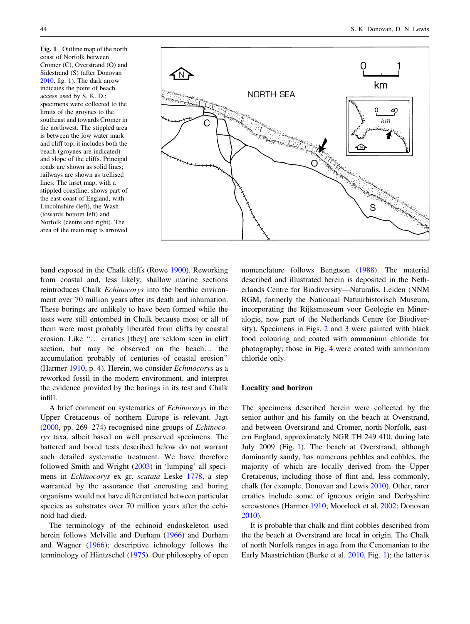<span id="page-1-0"></span>Fig. 1 Outline map of the north coast of Norfolk between Cromer (C), Overstrand (O) and Sidestrand (S) (after Donovan [2010,](#page-7-0) fig. 1). The dark arrow indicates the point of beach access used by S. K. D.; specimens were collected to the limits of the groynes to the southeast and towards Cromer in the northwest. The stippled area is between the low water mark and cliff top; it includes both the beach (groynes are indicated) and slope of the cliffs. Principal roads are shown as solid lines; railways are shown as trellised lines. The inset map, with a stippled coastline, shows part of the east coast of England, with Lincolnshire (left), the Wash (towards bottom left) and Norfolk (centre and right). The area of the main map is arrowed



band exposed in the Chalk cliffs (Rowe [1900\)](#page-8-0). Reworking from coastal and, less likely, shallow marine sections reintroduces Chalk Echinocorys into the benthic environment over 70 million years after its death and inhumation. These borings are unlikely to have been formed while the tests were still entombed in Chalk because most or all of them were most probably liberated from cliffs by coastal erosion. Like ''… erratics [they] are seldom seen in cliff section, but may be observed on the beach… the accumulation probably of centuries of coastal erosion'' (Harmer [1910,](#page-7-0) p. 4). Herein, we consider Echinocorys as a reworked fossil in the modern environment, and interpret the evidence provided by the borings in its test and Chalk infill.

A brief comment on systematics of Echinocorys in the Upper Cretaceous of northern Europe is relevant. Jagt [\(2000](#page-7-0), pp. 269–274) recognised nine groups of Echinocorys taxa, albeit based on well preserved specimens. The battered and bored tests described below do not warrant such detailed systematic treatment. We have therefore followed Smith and Wright [\(2003](#page-8-0)) in 'lumping' all specimens in Echinocorys ex gr. scutata Leske [1778](#page-7-0), a step warranted by the assurance that encrusting and boring organisms would not have differentiated between particular species as substrates over 70 million years after the echinoid had died.

The terminology of the echinoid endoskeleton used herein follows Melville and Durham ([1966\)](#page-7-0) and Durham and Wagner ([1966\)](#page-7-0); descriptive ichnology follows the terminology of Häntzschel ([1975](#page-7-0)). Our philosophy of open nomenclature follows Bengtson ([1988\)](#page-7-0). The material described and illustrated herein is deposited in the Netherlands Centre for Biodiversity—Naturalis, Leiden (NNM RGM, formerly the Nationaal Natuurhistorisch Museum, incorporating the Rijksmuseum voor Geologie en Mineralogie, now part of the Netherlands Centre for Biodiversity). Specimens in Figs. [2](#page-2-0) and [3](#page-3-0) were painted with black food colouring and coated with ammonium chloride for photography; those in Fig. [4](#page-5-0) were coated with ammonium chloride only.

## Locality and horizon

The specimens described herein were collected by the senior author and his family on the beach at Overstrand, and between Overstrand and Cromer, north Norfolk, eastern England, approximately NGR TH 249 410, during late July 2009 (Fig. 1). The beach at Overstrand, although dominantly sandy, has numerous pebbles and cobbles, the majority of which are locally derived from the Upper Cretaceous, including those of flint and, less commonly, chalk (for example, Donovan and Lewis [2010](#page-7-0)). Other, rarer erratics include some of igneous origin and Derbyshire screwstones (Harmer [1910](#page-7-0); Moorlock et al. [2002](#page-7-0); Donovan [2010](#page-7-0)).

It is probable that chalk and flint cobbles described from the the beach at Overstrand are local in origin. The Chalk of north Norfolk ranges in age from the Cenomanian to the Early Maastrichtian (Burke et al. [2010](#page-7-0), Fig. 1); the latter is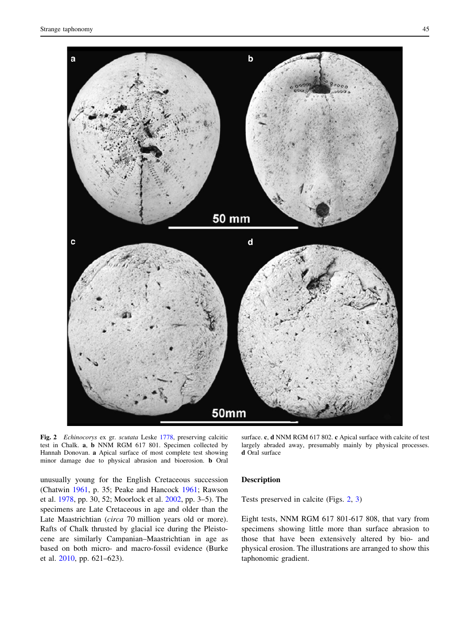<span id="page-2-0"></span>

Fig. 2 Echinocorys ex gr. scutata Leske [1778,](#page-7-0) preserving calcitic test in Chalk. a, b NNM RGM 617 801. Specimen collected by Hannah Donovan. a Apical surface of most complete test showing minor damage due to physical abrasion and bioerosion. b Oral

largely abraded away, presumably mainly by physical processes. d Oral surface

unusually young for the English Cretaceous succession (Chatwin [1961,](#page-7-0) p. 35; Peake and Hancock [1961;](#page-8-0) Rawson et al. [1978,](#page-8-0) pp. 30, 52; Moorlock et al. [2002](#page-7-0), pp. 3–5). The specimens are Late Cretaceous in age and older than the Late Maastrichtian (circa 70 million years old or more). Rafts of Chalk thrusted by glacial ice during the Pleistocene are similarly Campanian–Maastrichtian in age as based on both micro- and macro-fossil evidence (Burke et al. [2010,](#page-7-0) pp. 621–623).

## Description

Tests preserved in calcite (Figs. 2, [3\)](#page-3-0)

Eight tests, NNM RGM 617 801-617 808, that vary from specimens showing little more than surface abrasion to those that have been extensively altered by bio- and physical erosion. The illustrations are arranged to show this taphonomic gradient.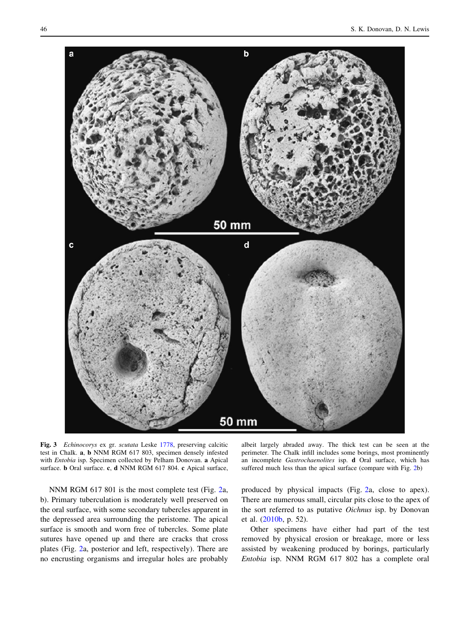<span id="page-3-0"></span>

Fig. 3 Echinocorys ex gr. scutata Leske [1778,](#page-7-0) preserving calcitic test in Chalk. a, b NNM RGM 617 803, specimen densely infested with Entobia isp. Specimen collected by Pelham Donovan. a Apical surface. **b** Oral surface. **c**, **d** NNM RGM 617 804. **c** Apical surface,

NNM RGM 617 801 is the most complete test (Fig. [2](#page-2-0)a, b). Primary tuberculation is moderately well preserved on the oral surface, with some secondary tubercles apparent in the depressed area surrounding the peristome. The apical surface is smooth and worn free of tubercles. Some plate sutures have opened up and there are cracks that cross plates (Fig. [2](#page-2-0)a, posterior and left, respectively). There are no encrusting organisms and irregular holes are probably

albeit largely abraded away. The thick test can be seen at the perimeter. The Chalk infill includes some borings, most prominently an incomplete Gastrochaenolites isp. d Oral surface, which has suffered much less than the apical surface (compare with Fig. [2b](#page-2-0))

produced by physical impacts (Fig. [2](#page-2-0)a, close to apex). There are numerous small, circular pits close to the apex of the sort referred to as putative Oichnus isp. by Donovan et al. [\(2010b](#page-7-0), p. 52).

Other specimens have either had part of the test removed by physical erosion or breakage, more or less assisted by weakening produced by borings, particularly Entobia isp. NNM RGM 617 802 has a complete oral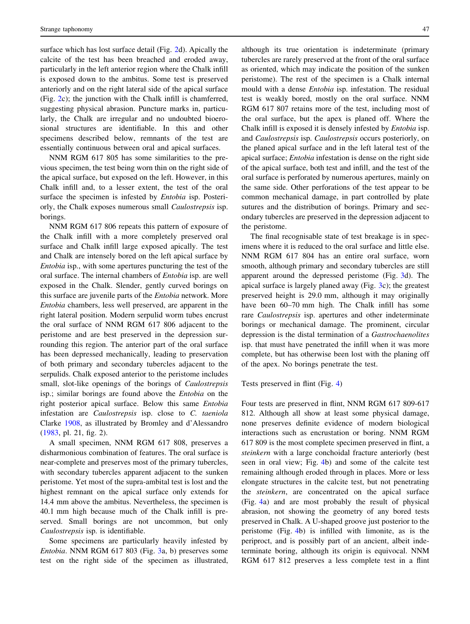surface which has lost surface detail (Fig. [2](#page-2-0)d). Apically the calcite of the test has been breached and eroded away, particularly in the left anterior region where the Chalk infill is exposed down to the ambitus. Some test is preserved anteriorly and on the right lateral side of the apical surface (Fig. [2](#page-2-0)c); the junction with the Chalk infill is chamferred, suggesting physical abrasion. Puncture marks in, particularly, the Chalk are irregular and no undoubted bioerosional structures are identifiable. In this and other specimens described below, remnants of the test are essentially continuous between oral and apical surfaces.

NNM RGM 617 805 has some similarities to the previous specimen, the test being worn thin on the right side of the apical surface, but exposed on the left. However, in this Chalk infill and, to a lesser extent, the test of the oral surface the specimen is infested by Entobia isp. Posteriorly, the Chalk exposes numerous small Caulostrepsis isp. borings.

NNM RGM 617 806 repeats this pattern of exposure of the Chalk infill with a more completely preserved oral surface and Chalk infill large exposed apically. The test and Chalk are intensely bored on the left apical surface by Entobia isp., with some apertures puncturing the test of the oral surface. The internal chambers of Entobia isp. are well exposed in the Chalk. Slender, gently curved borings on this surface are juvenile parts of the Entobia network. More Entobia chambers, less well preserved, are apparent in the right lateral position. Modern serpulid worm tubes encrust the oral surface of NNM RGM 617 806 adjacent to the peristome and are best preserved in the depression surrounding this region. The anterior part of the oral surface has been depressed mechanically, leading to preservation of both primary and secondary tubercles adjacent to the serpulids. Chalk exposed anterior to the peristome includes small, slot-like openings of the borings of Caulostrepsis isp.; similar borings are found above the Entobia on the right posterior apical surface. Below this same Entobia infestation are Caulostrepsis isp. close to C. taeniola Clarke [1908,](#page-7-0) as illustrated by Bromley and d'Alessandro [\(1983](#page-7-0), pl. 21, fig. 2).

A small specimen, NNM RGM 617 808, preserves a disharmonious combination of features. The oral surface is near-complete and preserves most of the primary tubercles, with secondary tubercles apparent adjacent to the sunken peristome. Yet most of the supra-ambital test is lost and the highest remnant on the apical surface only extends for 14.4 mm above the ambitus. Nevertheless, the specimen is 40.1 mm high because much of the Chalk infill is preserved. Small borings are not uncommon, but only Caulostrepsis isp. is identifiable.

Some specimens are particularly heavily infested by Entobia. NNM RGM 617 803 (Fig. [3](#page-3-0)a, b) preserves some test on the right side of the specimen as illustrated,

although its true orientation is indeterminate (primary tubercles are rarely preserved at the front of the oral surface as oriented, which may indicate the position of the sunken peristome). The rest of the specimen is a Chalk internal mould with a dense Entobia isp. infestation. The residual test is weakly bored, mostly on the oral surface. NNM RGM 617 807 retains more of the test, including most of the oral surface, but the apex is planed off. Where the Chalk infill is exposed it is densely infested by Entobia isp. and Caulostrepsis isp. Caulostrepsis occurs posteriorly, on the planed apical surface and in the left lateral test of the apical surface; Entobia infestation is dense on the right side of the apical surface, both test and infill, and the test of the oral surface is perforated by numerous apertures, mainly on the same side. Other perforations of the test appear to be common mechanical damage, in part controlled by plate sutures and the distribution of borings. Primary and secondary tubercles are preserved in the depression adjacent to the peristome.

The final recognisable state of test breakage is in specimens where it is reduced to the oral surface and little else. NNM RGM 617 804 has an entire oral surface, worn smooth, although primary and secondary tubercles are still apparent around the depressed peristome (Fig. [3d](#page-3-0)). The apical surface is largely planed away (Fig. [3c](#page-3-0)); the greatest preserved height is 29.0 mm, although it may originally have been  $60-70$  mm high. The Chalk infill has some rare Caulostrepsis isp. apertures and other indeterminate borings or mechanical damage. The prominent, circular depression is the distal termination of a Gastrochaenolites isp. that must have penetrated the infill when it was more complete, but has otherwise been lost with the planing off of the apex. No borings penetrate the test.

Tests preserved in flint (Fig. [4\)](#page-5-0)

Four tests are preserved in flint, NNM RGM 617 809-617 812. Although all show at least some physical damage, none preserves definite evidence of modern biological interactions such as encrustation or boring. NNM RGM 617 809 is the most complete specimen preserved in flint, a steinkern with a large conchoidal fracture anteriorly (best seen in oral view; Fig. [4b](#page-5-0)) and some of the calcite test remaining although eroded through in places. More or less elongate structures in the calcite test, but not penetrating the steinkern, are concentrated on the apical surface (Fig. [4a](#page-5-0)) and are most probably the result of physical abrasion, not showing the geometry of any bored tests preserved in Chalk. A U-shaped groove just posterior to the peristome (Fig. [4b](#page-5-0)) is infilled with limonite, as is the periproct, and is possibly part of an ancient, albeit indeterminate boring, although its origin is equivocal. NNM RGM 617 812 preserves a less complete test in a flint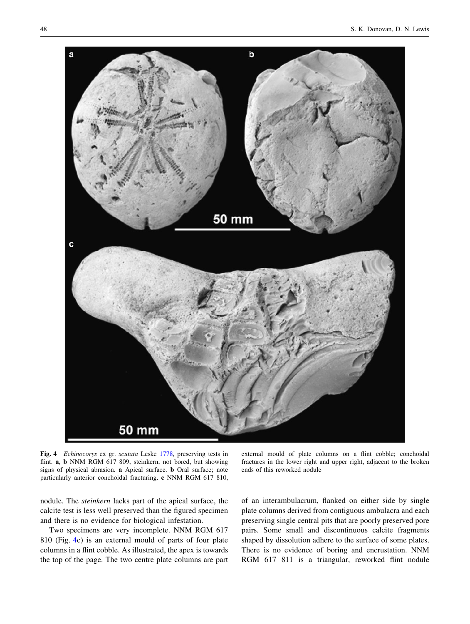<span id="page-5-0"></span>

Fig. 4 Echinocorys ex gr. scutata Leske [1778](#page-7-0), preserving tests in flint. a, b NNM RGM 617 809, steinkern, not bored, but showing signs of physical abrasion. a Apical surface. b Oral surface; note particularly anterior conchoidal fracturing. c NNM RGM 617 810,

nodule. The steinkern lacks part of the apical surface, the calcite test is less well preserved than the figured specimen and there is no evidence for biological infestation.

Two specimens are very incomplete. NNM RGM 617 810 (Fig. 4c) is an external mould of parts of four plate columns in a flint cobble. As illustrated, the apex is towards the top of the page. The two centre plate columns are part

external mould of plate columns on a flint cobble; conchoidal fractures in the lower right and upper right, adjacent to the broken ends of this reworked nodule

of an interambulacrum, flanked on either side by single plate columns derived from contiguous ambulacra and each preserving single central pits that are poorly preserved pore pairs. Some small and discontinuous calcite fragments shaped by dissolution adhere to the surface of some plates. There is no evidence of boring and encrustation. NNM RGM 617 811 is a triangular, reworked flint nodule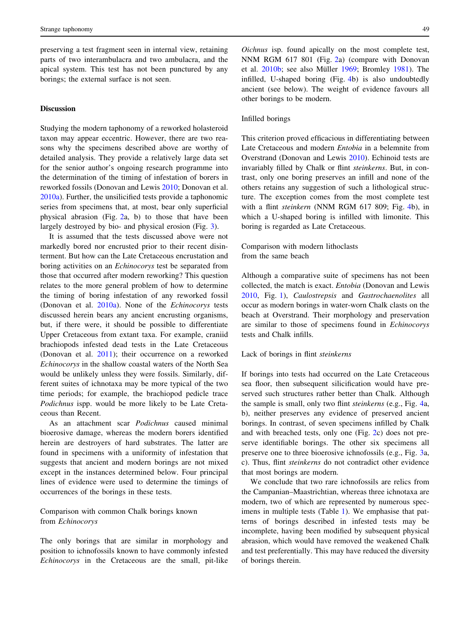preserving a test fragment seen in internal view, retaining parts of two interambulacra and two ambulacra, and the apical system. This test has not been punctured by any borings; the external surface is not seen.

# Discussion

Studying the modern taphonomy of a reworked holasteroid taxon may appear eccentric. However, there are two reasons why the specimens described above are worthy of detailed analysis. They provide a relatively large data set for the senior author's ongoing research programme into the determination of the timing of infestation of borers in reworked fossils (Donovan and Lewis [2010](#page-7-0); Donovan et al. [2010a](#page-7-0)). Further, the unsilicified tests provide a taphonomic series from specimens that, at most, bear only superficial physical abrasion (Fig. [2](#page-2-0)a, b) to those that have been largely destroyed by bio- and physical erosion (Fig. [3\)](#page-3-0).

It is assumed that the tests discussed above were not markedly bored nor encrusted prior to their recent disinterment. But how can the Late Cretaceous encrustation and boring activities on an Echinocorys test be separated from those that occurred after modern reworking? This question relates to the more general problem of how to determine the timing of boring infestation of any reworked fossil (Donovan et al. [2010a\)](#page-7-0). None of the Echinocorys tests discussed herein bears any ancient encrusting organisms, but, if there were, it should be possible to differentiate Upper Cretaceous from extant taxa. For example, craniid brachiopods infested dead tests in the Late Cretaceous (Donovan et al. [2011](#page-7-0)); their occurrence on a reworked Echinocorys in the shallow coastal waters of the North Sea would be unlikely unless they were fossils. Similarly, different suites of ichnotaxa may be more typical of the two time periods; for example, the brachiopod pedicle trace Podichnus ispp. would be more likely to be Late Cretaceous than Recent.

As an attachment scar Podichnus caused minimal bioerosive damage, whereas the modern borers identified herein are destroyers of hard substrates. The latter are found in specimens with a uniformity of infestation that suggests that ancient and modern borings are not mixed except in the instances determined below. Four principal lines of evidence were used to determine the timings of occurrences of the borings in these tests.

Comparison with common Chalk borings known from Echinocorys

The only borings that are similar in morphology and position to ichnofossils known to have commonly infested Echinocorys in the Cretaceous are the small, pit-like Oichnus isp. found apically on the most complete test, NNM RGM 617 801 (Fig. [2](#page-2-0)a) (compare with Donovan et al. [2010b;](#page-7-0) see also Müller [1969](#page-7-0); Bromley [1981\)](#page-7-0). The infilled, U-shaped boring (Fig. [4b](#page-5-0)) is also undoubtedly ancient (see below). The weight of evidence favours all other borings to be modern.

#### Infilled borings

This criterion proved efficacious in differentiating between Late Cretaceous and modern Entobia in a belemnite from Overstrand (Donovan and Lewis [2010](#page-7-0)). Echinoid tests are invariably filled by Chalk or flint steinkerns. But, in contrast, only one boring preserves an infill and none of the others retains any suggestion of such a lithological structure. The exception comes from the most complete test with a flint steinkern (NNM RGM 617 809; Fig. [4](#page-5-0)b), in which a U-shaped boring is infilled with limonite. This boring is regarded as Late Cretaceous.

Comparison with modern lithoclasts from the same beach

Although a comparative suite of specimens has not been collected, the match is exact. Entobia (Donovan and Lewis [2010](#page-7-0), Fig. [1](#page-1-0)), Caulostrepsis and Gastrochaenolites all occur as modern borings in water-worn Chalk clasts on the beach at Overstrand. Their morphology and preservation are similar to those of specimens found in Echinocorys tests and Chalk infills.

## Lack of borings in flint steinkerns

If borings into tests had occurred on the Late Cretaceous sea floor, then subsequent silicification would have preserved such structures rather better than Chalk. Although the sample is small, only two flint steinkerns (e.g., Fig. [4](#page-5-0)a, b), neither preserves any evidence of preserved ancient borings. In contrast, of seven specimens infilled by Chalk and with breached tests, only one (Fig. [2c](#page-2-0)) does not preserve identifiable borings. The other six specimens all preserve one to three bioerosive ichnofossils (e.g., Fig. [3](#page-3-0)a, c). Thus, flint steinkerns do not contradict other evidence that most borings are modern.

We conclude that two rare ichnofossils are relics from the Campanian–Maastrichtian, whereas three ichnotaxa are modern, two of which are represented by numerous specimens in multiple tests (Table [1\)](#page-7-0). We emphasise that patterns of borings described in infested tests may be incomplete, having been modified by subsequent physical abrasion, which would have removed the weakened Chalk and test preferentially. This may have reduced the diversity of borings therein.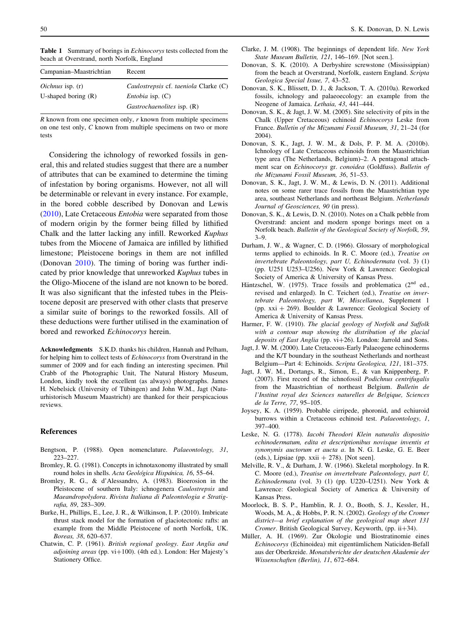<span id="page-7-0"></span>

| Campanian–Maastrichtian | Recent                                |
|-------------------------|---------------------------------------|
| <i>Oichnus</i> isp. (r) | Caulostrepsis cf. taeniola Clarke (C) |
| U-shaped boring $(R)$   | <i>Entobia</i> isp. $(C)$             |
|                         | Gastrochaenolites isp. (R)            |

 $R$  known from one specimen only,  $r$  known from multiple specimens on one test only, C known from multiple specimens on two or more tests

Considering the ichnology of reworked fossils in general, this and related studies suggest that there are a number of attributes that can be examined to determine the timing of infestation by boring organisms. However, not all will be determinable or relevant in every instance. For example, in the bored cobble described by Donovan and Lewis (2010), Late Cretaceous Entobia were separated from those of modern origin by the former being filled by lithified Chalk and the latter lacking any infill. Reworked Kuphus tubes from the Miocene of Jamaica are infilled by lithified limestone; Pleistocene borings in them are not infilled (Donovan 2010). The timing of boring was further indicated by prior knowledge that unreworked Kuphus tubes in the Oligo-Miocene of the island are not known to be bored. It was also significant that the infested tubes in the Pleistocene deposit are preserved with other clasts that preserve a similar suite of borings to the reworked fossils. All of these deductions were further utilised in the examination of bored and reworked Echinocorys herein.

Acknowledgments S.K.D. thanks his children, Hannah and Pelham, for helping him to collect tests of Echinocorys from Overstrand in the summer of 2009 and for each finding an interesting specimen. Phil Crabb of the Photographic Unit, The Natural History Museum, London, kindly took the excellent (as always) photographs. James H. Nebelsick (University of Tübingen) and John W.M., Jagt (Natuurhistorisch Museum Maastricht) are thanked for their perspicacious reviews.

## References

- Bengtson, P. (1988). Open nomenclature. Palaeontology, 31, 223–227.
- Bromley, R. G. (1981). Concepts in ichnotaxonomy illustrated by small round holes in shells. Acta Geológica Hispánica, 16, 55-64.
- Bromley, R. G., & d'Alessandro, A. (1983). Bioerosion in the Pleistocene of southern Italy: ichnogenera Caulostrepsis and Maeandropolydora. Rivista Italiana di Paleontologia e Stratigrafia, 89, 283–309.
- Burke, H., Phillips, E., Lee, J. R., & Wilkinson, I. P. (2010). Imbricate thrust stack model for the formation of glaciotectonic rafts: an example from the Middle Pleistocene of north Norfolk, UK. Boreas, 38, 620–637.
- Chatwin, C. P. (1961). British regional geology. East Anglia and adjoining areas (pp. vi $+100$ ). (4th ed.). London: Her Majesty's Stationery Office.
- Clarke, J. M. (1908). The beginnings of dependent life. New York State Museum Bulletin, 121, 146–169. [Not seen.].
- Donovan, S. K. (2010). A Derbyshire screwstone (Mississippian) from the beach at Overstrand, Norfolk, eastern England. Scripta Geologica Special Issue, 7, 43–52.
- Donovan, S. K., Blissett, D. J., & Jackson, T. A. (2010a). Reworked fossils, ichnology and palaeoecology: an example from the Neogene of Jamaica. Lethaia, 43, 441–444.
- Donovan, S. K., & Jagt, J. W. M. (2005). Site selectivity of pits in the Chalk (Upper Cretaceous) echinoid Echinocorys Leske from France. Bulletin of the Mizunami Fossil Museum, 31, 21–24 (for 2004).
- Donovan, S. K., Jagt, J. W. M., & Dols, P. P. M. A. (2010b). Ichnology of Late Cretaceous echinoids from the Maastrichtian type area (The Netherlands, Belgium)–2. A pentagonal attachment scar on Echinocorys gr. conoidea (Goldfuss). Bulletin of the Mizunami Fossil Museum, 36, 51–53.
- Donovan, S. K., Jagt, J. W. M., & Lewis, D. N. (2011). Additional notes on some rarer trace fossils from the Maastrichtian type area, southeast Netherlands and northeast Belgium. Netherlands Journal of Geosciences, 90 (in press).
- Donovan, S. K., & Lewis, D. N. (2010). Notes on a Chalk pebble from Overstrand: ancient and modern sponge borings meet on a Norfolk beach. Bulletin of the Geological Society of Norfolk, 59, 3–9.
- Durham, J. W., & Wagner, C. D. (1966). Glossary of morphological terms applied to echinoids. In R. C. Moore (ed.), Treatise on invertebrate Paleontology, part U, Echinodermata (vol. 3) (1) (pp. U251 U253–U256). New York & Lawrence: Geological Society of America & University of Kansas Press.
- Häntzschel, W. (1975). Trace fossils and problematica (2<sup>nd</sup> ed., revised and enlarged). In C. Teichert (ed.), Treatise on invertebrate Paleontology, part W, Miscellanea, Supplement 1 (pp. xxi  $+ 269$ ). Boulder & Lawrence: Geological Society of America & University of Kansas Press.
- Harmer, F. W. (1910). The glacial geology of Norfolk and Suffolk with a contour map showing the distribution of the glacial deposits of East Anglia (pp. vi+26). London: Jarrold and Sons.
- Jagt, J. W. M. (2000). Late Cretaceous-Early Palaeogene echinoderms and the K/T boundary in the southeast Netherlands and northeast Belgium—Part 4: Echinoids. Scripta Geologica, 121, 181–375.
- Jagt, J. W. M., Dortangs, R., Simon, E., & van Knippenberg, P. (2007). First record of the ichnofossil Podichnus centrifugalis from the Maastrichtian of northeast Belgium. Bulletin de l'Institut royal des Sciences naturelles de Belgique, Sciences de la Terre, 77, 95–105.
- Joysey, K. A. (1959). Probable cirripede, phoronid, and echiuroid burrows within a Cretaceous echinoid test. Palaeontology, 1, 397–400.
- Leske, N. G. (1778). Iacobi Theodori Klein naturalis dispositio echinodermatum, edita et descriptionibus novisque inventis et synonymis auctorum et aucta a. In N. G. Leske, G. E. Beer (eds.), Lipsiae (pp.  $xxi + 278$ ). [Not seen].
- Melville, R. V., & Durham, J. W. (1966). Skeletal morphology. In R. C. Moore (ed.), Treatise on invertebrate Paleontology, part U, Echinodermata (vol. 3) (1) (pp. U220–U251). New York & Lawrence: Geological Society of America & University of Kansas Press.
- Moorlock, B. S. P., Hamblin, R. J. O., Booth, S. J., Kessler, H., Woods, M. A., & Hobbs, P. R. N. (2002). Geology of the Cromer district—a brief explanation of the geological map sheet 131 Cromer. British Geological Survey, Keyworth, (pp. ii+34).
- Müller, A. H. (1969). Zur Ökologie und Biostratinomie eines Echinocorys (Echinoidea) mit eigentümlichem Naticiden-Befall aus der Oberkreide. Monatsberichte der deutschen Akademie der Wissenschaften (Berlin), 11, 672–684.